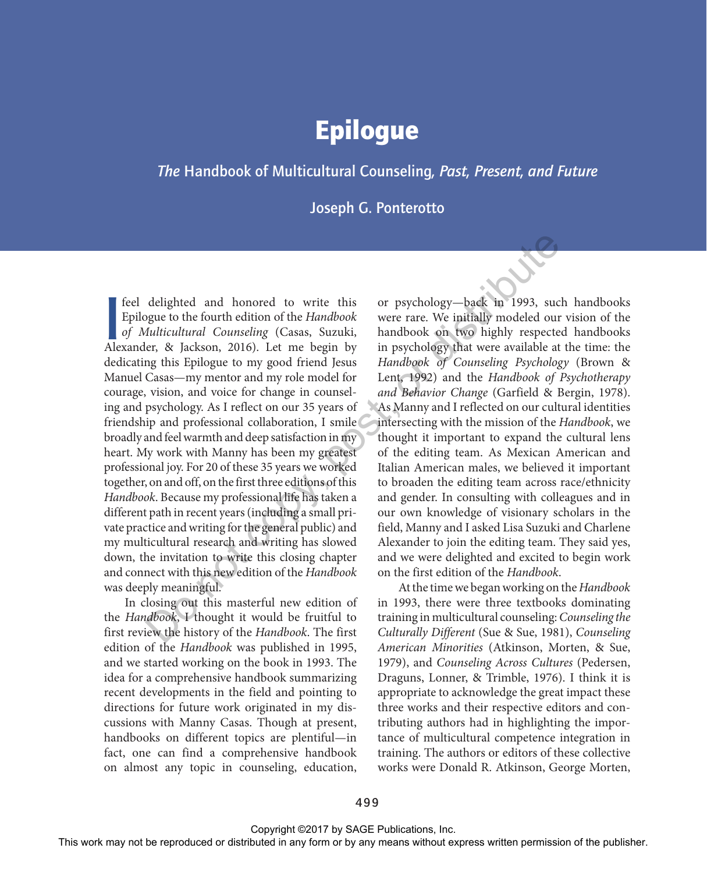# Epilogue

#### *The* Handbook of Multicultural Counseling*, Past, Present, and Future*

Joseph G. Ponterotto

Feel delighted and honored to write this<br>Epilogue to the fourth edition of the *Handbook*<br>of *Multicultural Counseling* (Casas, Suzuki,<br>Alexander, & Jackson, 2016). Let me begin by feel delighted and honored to write this Epilogue to the fourth edition of the *Handbook of Multicultural Counseling* (Casas, Suzuki, dedicating this Epilogue to my good friend Jesus Manuel Casas—my mentor and my role model for courage, vision, and voice for change in counseling and psychology. As I reflect on our 35 years of friendship and professional collaboration, I smile broadly and feel warmth and deep satisfaction in my heart. My work with Manny has been my greatest professional joy. For 20 of these 35 years we worked together, on and off, on the first three editions of this *Handbook*. Because my professional life has taken a different path in recent years (including a small private practice and writing for the general public) and my multicultural research and writing has slowed down, the invitation to write this closing chapter and connect with this new edition of the *Handbook* was deeply meaningful. Fed delighted and honored to write this or psychology-both anisotosis replace or distributed in Andre and Marken Controllegy (Cassa, Sunskin, handbook with anomology chosen or be a Marken may notice for the publisher of t

In closing out this masterful new edition of the *Handbook*, I thought it would be fruitful to first review the history of the *Handbook*. The first edition of the *Handbook* was published in 1995, and we started working on the book in 1993. The idea for a comprehensive handbook summarizing recent developments in the field and pointing to directions for future work originated in my discussions with Manny Casas. Though at present, handbooks on different topics are plentiful—in fact, one can find a comprehensive handbook on almost any topic in counseling, education, or psychology—back in 1993, such handbooks were rare. We initially modeled our vision of the handbook on two highly respected handbooks in psychology that were available at the time: the *Handbook of Counseling Psychology* (Brown & Lent, 1992) and the *Handbook of Psychotherapy and Behavior Change* (Garfield & Bergin, 1978). As Manny and I reflected on our cultural identities intersecting with the mission of the *Handbook*, we thought it important to expand the cultural lens of the editing team. As Mexican American and Italian American males, we believed it important to broaden the editing team across race/ethnicity and gender. In consulting with colleagues and in our own knowledge of visionary scholars in the field, Manny and I asked Lisa Suzuki and Charlene Alexander to join the editing team. They said yes, and we were delighted and excited to begin work on the first edition of the *Handbook*.

At the time we began working on the *Handbook* in 1993, there were three textbooks dominating training in multicultural counseling: *Counseling the Culturally Different* (Sue & Sue, 1981), *Counseling American Minorities* (Atkinson, Morten, & Sue, 1979), and *Counseling Across Cultures* (Pedersen, Draguns, Lonner, & Trimble, 1976). I think it is appropriate to acknowledge the great impact these three works and their respective editors and contributing authors had in highlighting the importance of multicultural competence integration in training. The authors or editors of these collective works were Donald R. Atkinson, George Morten,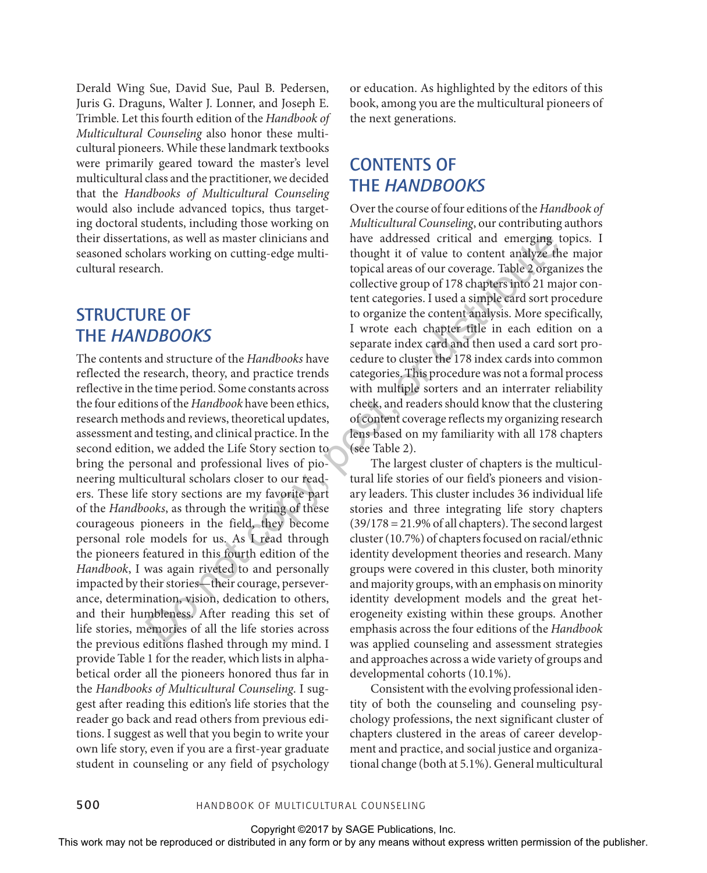Derald Wing Sue, David Sue, Paul B. Pedersen, Juris G. Draguns, Walter J. Lonner, and Joseph E. Trimble. Let this fourth edition of the *Handbook of Multicultural Counseling* also honor these multicultural pioneers. While these landmark textbooks were primarily geared toward the master's level multicultural class and the practitioner, we decided that the *Handbooks of Multicultural Counseling* would also include advanced topics, thus targeting doctoral students, including those working on their dissertations, as well as master clinicians and seasoned scholars working on cutting-edge multicultural research.

## STRUCTURE OF THE *HANDBOOKS*

The contents and structure of the *Handbooks* have reflected the research, theory, and practice trends reflective in the time period. Some constants across the four editions of the *Handbook* have been ethics, research methods and reviews, theoretical updates, assessment and testing, and clinical practice. In the second edition, we added the Life Story section to bring the personal and professional lives of pioneering multicultural scholars closer to our readers. These life story sections are my favorite part of the *Handbooks*, as through the writing of these courageous pioneers in the field, they become personal role models for us. As I read through the pioneers featured in this fourth edition of the *Handbook*, I was again riveted to and personally impacted by their stories—their courage, perseverance, determination, vision, dedication to others, and their humbleness. After reading this set of life stories, memories of all the life stories across the previous editions flashed through my mind. I provide Table 1 for the reader, which lists in alphabetical order all the pioneers honored thus far in the *Handbooks of Multicultural Counseling*. I suggest after reading this edition's life stories that the reader go back and read others from previous editions. I suggest as well that you begin to write your own life story, even if you are a first-year graduate student in counseling or any field of psychology the distributed or distributions, as well as most chincing to the subset of the representations of the reproduced areas of the reproduced in the publisher of the publisher or distributed in the respect to the content or b

or education. As highlighted by the editors of this book, among you are the multicultural pioneers of the next generations.

## CONTENTS OF THE *HANDBOOKS*

Over the course of four editions of the *Handbook of Multicultural Counseling*, our contributing authors have addressed critical and emerging topics. I thought it of value to content analyze the major topical areas of our coverage. Table 2 organizes the collective group of 178 chapters into 21 major content categories. I used a simple card sort procedure to organize the content analysis. More specifically, I wrote each chapter title in each edition on a separate index card and then used a card sort procedure to cluster the 178 index cards into common categories. This procedure was not a formal process with multiple sorters and an interrater reliability check, and readers should know that the clustering of content coverage reflects my organizing research lens based on my familiarity with all 178 chapters (see Table 2).

The largest cluster of chapters is the multicultural life stories of our field's pioneers and visionary leaders. This cluster includes 36 individual life stories and three integrating life story chapters (39/178 = 21.9% of all chapters). The second largest cluster (10.7%) of chapters focused on racial/ethnic identity development theories and research. Many groups were covered in this cluster, both minority and majority groups, with an emphasis on minority identity development models and the great heterogeneity existing within these groups. Another emphasis across the four editions of the *Handbook* was applied counseling and assessment strategies and approaches across a wide variety of groups and developmental cohorts (10.1%).

Consistent with the evolving professional identity of both the counseling and counseling psychology professions, the next significant cluster of chapters clustered in the areas of career development and practice, and social justice and organizational change (both at 5.1%). General multicultural

500 Handbook of Multicultural Counseling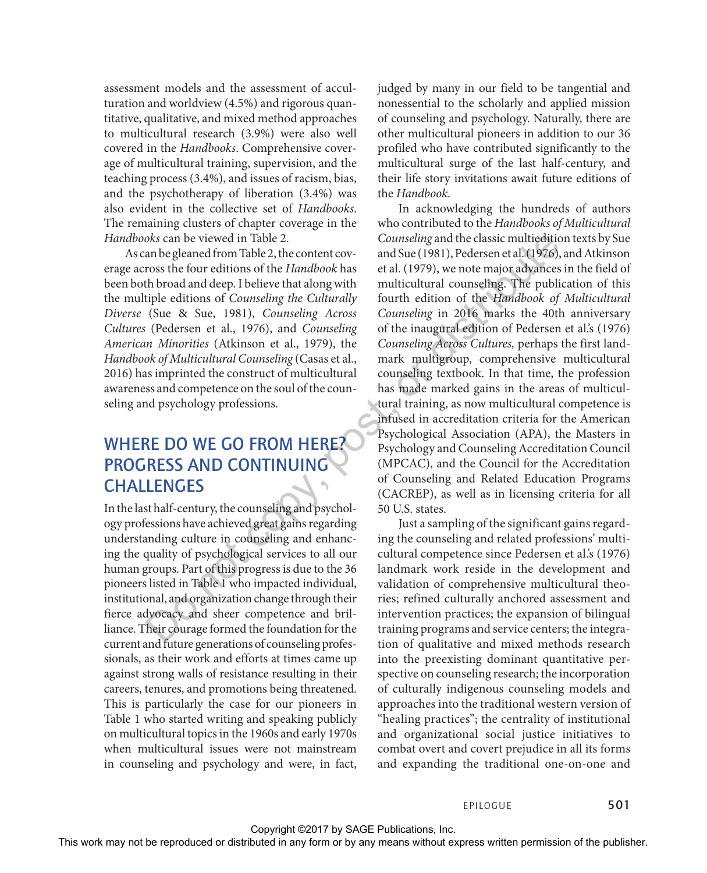assessment models and the assessment of acculturation and worldview (4.5%) and rigorous quantitative, qualitative, and mixed method approaches to multicultural research (3.9%) were also well covered in the *Handbooks*. Comprehensive coverage of multicultural training, supervision, and the teaching process (3.4%), and issues of racism, bias, and the psychotherapy of liberation (3.4%) was also evident in the collective set of *Handbooks*. The remaining clusters of chapter coverage in the *Handbooks* can be viewed in Table 2.

As can be gleaned from Table 2, the content coverage across the four editions of the *Handbook* has been both broad and deep. I believe that along with the multiple editions of *Counseling the Culturally Diverse* (Sue & Sue, 1981), *Counseling Across Cultures* (Pedersen et al., 1976), and *Counseling American Minorities* (Atkinson et al., 1979), the *Handbook of Multicultural Counseling* (Casas et al., 2016) has imprinted the construct of multicultural awareness and competence on the soul of the counseling and psychology professions.

## WHERE DO WE GO FROM HERE? PROGRESS AND CONTINUING **CHALLENGES**

In the last half-century, the counseling and psychology professions have achieved great gains regarding understanding culture in counseling and enhancing the quality of psychological services to all our human groups. Part of this progress is due to the 36 pioneers listed in Table 1 who impacted individual, institutional, and organization change through their fierce advocacy and sheer competence and brilliance. Their courage formed the foundation for the current and future generations of counseling professionals, as their work and efforts at times came up against strong walls of resistance resulting in their careers, tenures, and promotions being threatened. This is particularly the case for our pioneers in Table 1 who started writing and speaking publicly on multicultural topics in the 1960s and early 1970s when multicultural issues were not mainstream in counseling and psychology and were, in fact, judged by many in our field to be tangential and nonessential to the scholarly and applied mission of counseling and psychology. Naturally, there are other multicultural pioneers in addition to our 36 profiled who have contributed significantly to the multicultural surge of the last half-century, and their life story invitations await future editions of the *Handbook*.

In acknowledging the hundreds of authors who contributed to the *Handbooks of Multicultural Counseling* and the classic multiedition texts by Sue and Sue (1981), Pedersen et al. (1976), and Atkinson et al. (1979), we note major advances in the field of multicultural counseling. The publication of this fourth edition of the *Handbook of Multicultural Counseling* in 2016 marks the 40th anniversary of the inaugural edition of Pedersen et al.'s (1976) *Counseling Across Cultures,* perhaps the first landmark multigroup, comprehensive multicultural counseling textbook. In that time, the profession has made marked gains in the areas of multicultural training, as now multicultural competence is infused in accreditation criteria for the American Psychological Association (APA), the Masters in Psychology and Counseling Accreditation Council (MPCAC), and the Council for the Accreditation of Counseling and Related Education Programs (CACREP), as well as in licensing criteria for all 50 U.S. states. The above controllation of the controllation of the controllation or between the bubbles ends of the reproduced or the controllation of the collation of the components of the components of the components of the components

Just a sampling of the significant gains regarding the counseling and related professions' multicultural competence since Pedersen et al.'s (1976) landmark work reside in the development and validation of comprehensive multicultural theories; refined culturally anchored assessment and intervention practices; the expansion of bilingual training programs and service centers; the integration of qualitative and mixed methods research into the preexisting dominant quantitative perspective on counseling research; the incorporation of culturally indigenous counseling models and approaches into the traditional western version of "healing practices"; the centrality of institutional and organizational social justice initiatives to combat overt and covert prejudice in all its forms and expanding the traditional one-on-one and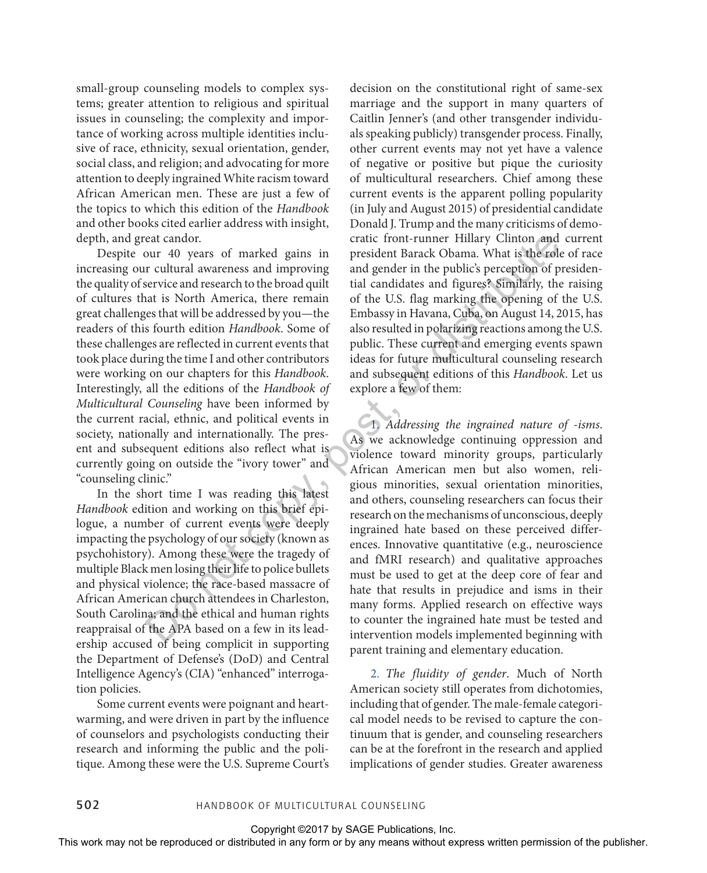small-group counseling models to complex systems; greater attention to religious and spiritual issues in counseling; the complexity and importance of working across multiple identities inclusive of race, ethnicity, sexual orientation, gender, social class, and religion; and advocating for more attention to deeply ingrained White racism toward African American men. These are just a few of the topics to which this edition of the *Handbook*  and other books cited earlier address with insight, depth, and great candor.

Despite our 40 years of marked gains in increasing our cultural awareness and improving the quality of service and research to the broad quilt of cultures that is North America, there remain great challenges that will be addressed by you—the readers of this fourth edition *Handbook*. Some of these challenges are reflected in current events that took place during the time I and other contributors were working on our chapters for this *Handbook*. Interestingly, all the editions of the *Handbook of Multicultural Counseling* have been informed by the current racial, ethnic, and political events in society, nationally and internationally. The present and subsequent editions also reflect what is currently going on outside the "ivory tower" and "counseling clinic."

In the short time I was reading this latest *Handbook* edition and working on this brief epilogue, a number of current events were deeply impacting the psychology of our society (known as psychohistory). Among these were the tragedy of multiple Black men losing their life to police bullets and physical violence; the race-based massacre of African American church attendees in Charleston, South Carolina; and the ethical and human rights reappraisal of the APA based on a few in its leadership accused of being complicit in supporting the Department of Defense's (DoD) and Central Intelligence Agency's (CIA) "enhanced" interrogation policies.

Some current events were poignant and heartwarming, and were driven in part by the influence of counselors and psychologists conducting their research and informing the public and the politique. Among these were the U.S. Supreme Court's

decision on the constitutional right of same-sex marriage and the support in many quarters of Caitlin Jenner's (and other transgender individuals speaking publicly) transgender process. Finally, other current events may not yet have a valence of negative or positive but pique the curiosity of multicultural researchers. Chief among these current events is the apparent polling popularity (in July and August 2015) of presidential candidate Donald J. Trump and the many criticisms of democratic front-runner Hillary Clinton and current president Barack Obama. What is the role of race and gender in the public's perception of presidential candidates and figures? Similarly, the raising of the U.S. flag marking the opening of the U.S. Embassy in Havana, Cuba, on August 14, 2015, has also resulted in polarizing reactions among the U.S. public. These current and emerging events spawn ideas for future multicultural counseling research and subsequent editions of this *Handbook*. Let us explore a few of them:

1. *Addressing the ingrained nature of -isms*. As we acknowledge continuing oppression and violence toward minority groups, particularly African American men but also women, religious minorities, sexual orientation minorities, and others, counseling researchers can focus their research on the mechanisms of unconscious, deeply ingrained hate based on these perceived differences. Innovative quantitative (e.g., neuroscience and fMRI research) and qualitative approaches must be used to get at the deep core of fear and hate that results in prejudice and isms in their many forms. Applied research on effective ways to counter the ingrained hate must be tested and intervention models implemented beginning with parent training and elementary education. depth, and great cantual controlling controlling controlling Chiraco Chiraco Chiraco Chiraco Chiraco Chiraco Chiraco Chiraco Chiraco Chiraco Chiraco Chiraco Chiraco Chiraco Chiraco Chiraco Chiraco Chiraco Chiraco Chiraco

2. *The fluidity of gender*. Much of North American society still operates from dichotomies, including that of gender. The male-female categorical model needs to be revised to capture the continuum that is gender, and counseling researchers can be at the forefront in the research and applied implications of gender studies. Greater awareness

502 Handbook of Multicultural Counseling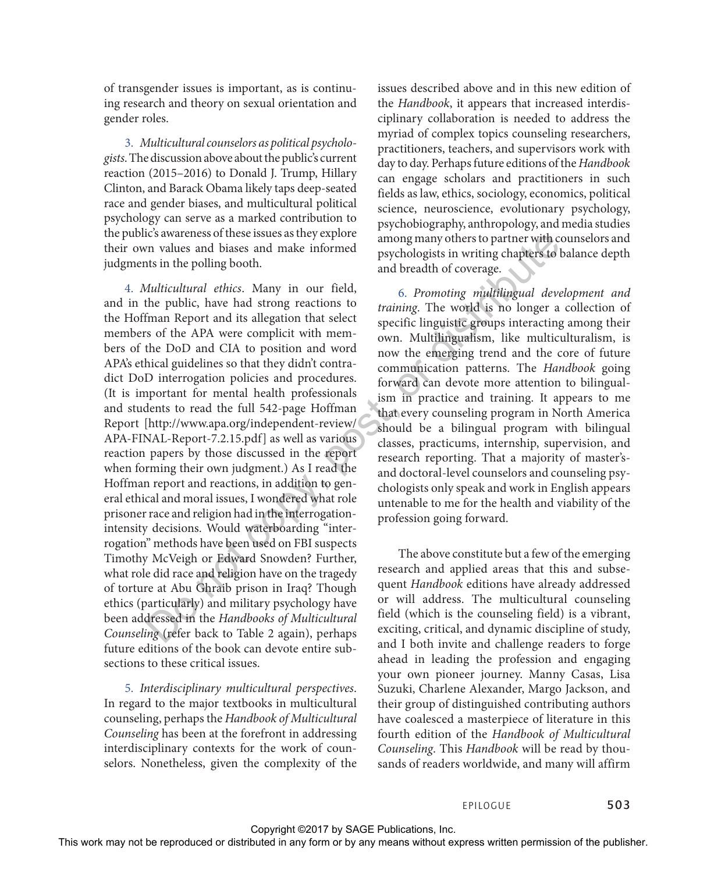of transgender issues is important, as is continuing research and theory on sexual orientation and gender roles.

3. *Multicultural counselors as political psychologists*. The discussion above about the public's current reaction (2015–2016) to Donald J. Trump, Hillary Clinton, and Barack Obama likely taps deep-seated race and gender biases, and multicultural political psychology can serve as a marked contribution to the public's awareness of these issues as they explore their own values and biases and make informed judgments in the polling booth.

4. *Multicultural ethics*. Many in our field, and in the public, have had strong reactions to the Hoffman Report and its allegation that select members of the APA were complicit with members of the DoD and CIA to position and word APA's ethical guidelines so that they didn't contradict DoD interrogation policies and procedures. (It is important for mental health professionals and students to read the full 542-page Hoffman Report [http://www.apa.org/independent-review/ APA-FINAL-Report-7.2.15.pdf] as well as various reaction papers by those discussed in the report when forming their own judgment.) As I read the Hoffman report and reactions, in addition to general ethical and moral issues, I wondered what role prisoner race and religion had in the interrogationintensity decisions. Would waterboarding "interrogation" methods have been used on FBI suspects Timothy McVeigh or Edward Snowden? Further, what role did race and religion have on the tragedy of torture at Abu Ghraib prison in Iraq? Though ethics (particularly) and military psychology have been addressed in the *Handbooks of Multicultural Counseling* (refer back to Table 2 again), perhaps future editions of the book can devote entire subsections to these critical issues. In the politics and the space of the space or the publisher and the publisher and the publishers and the publishers with a space of the space of the space of the publishers with the publishers with a space of the form or

5. *Interdisciplinary multicultural perspectives*. In regard to the major textbooks in multicultural counseling, perhaps the *Handbook of Multicultural Counseling* has been at the forefront in addressing interdisciplinary contexts for the work of counselors. Nonetheless, given the complexity of the issues described above and in this new edition of the *Handbook*, it appears that increased interdisciplinary collaboration is needed to address the myriad of complex topics counseling researchers, practitioners, teachers, and supervisors work with day to day. Perhaps future editions of the *Handbook* can engage scholars and practitioners in such fields as law, ethics, sociology, economics, political science, neuroscience, evolutionary psychology, psychobiography, anthropology, and media studies among many others to partner with counselors and psychologists in writing chapters to balance depth and breadth of coverage.

6. *Promoting multilingual development and training*. The world is no longer a collection of specific linguistic groups interacting among their own. Multilingualism, like multiculturalism, is now the emerging trend and the core of future communication patterns. The *Handbook* going forward can devote more attention to bilingualism in practice and training. It appears to me that every counseling program in North America should be a bilingual program with bilingual classes, practicums, internship, supervision, and research reporting. That a majority of master'sand doctoral-level counselors and counseling psychologists only speak and work in English appears untenable to me for the health and viability of the profession going forward.

The above constitute but a few of the emerging research and applied areas that this and subsequent *Handbook* editions have already addressed or will address. The multicultural counseling field (which is the counseling field) is a vibrant, exciting, critical, and dynamic discipline of study, and I both invite and challenge readers to forge ahead in leading the profession and engaging your own pioneer journey. Manny Casas, Lisa Suzuki, Charlene Alexander, Margo Jackson, and their group of distinguished contributing authors have coalesced a masterpiece of literature in this fourth edition of the *Handbook of Multicultural Counseling*. This *Handbook* will be read by thousands of readers worldwide, and many will affirm